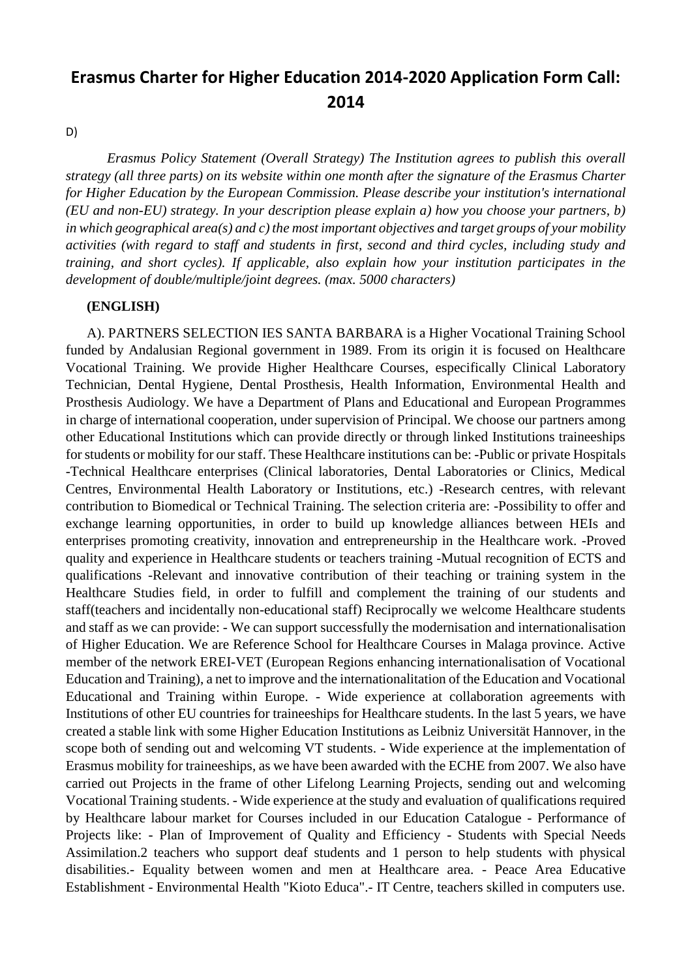# **Erasmus Charter for Higher Education 2014-2020 Application Form Call: 2014**

D)

*Erasmus Policy Statement (Overall Strategy) The Institution agrees to publish this overall strategy (all three parts) on its website within one month after the signature of the Erasmus Charter for Higher Education by the European Commission. Please describe your institution's international (EU and non-EU) strategy. In your description please explain a) how you choose your partners, b) in which geographical area(s) and c) the most important objectives and target groups of your mobility activities (with regard to staff and students in first, second and third cycles, including study and training, and short cycles). If applicable, also explain how your institution participates in the development of double/multiple/joint degrees. (max. 5000 characters)*

#### **(ENGLISH)**

A). PARTNERS SELECTION IES SANTA BARBARA is a Higher Vocational Training School funded by Andalusian Regional government in 1989. From its origin it is focused on Healthcare Vocational Training. We provide Higher Healthcare Courses, especifically Clinical Laboratory Technician, Dental Hygiene, Dental Prosthesis, Health Information, Environmental Health and Prosthesis Audiology. We have a Department of Plans and Educational and European Programmes in charge of international cooperation, under supervision of Principal. We choose our partners among other Educational Institutions which can provide directly or through linked Institutions traineeships for students or mobility for our staff. These Healthcare institutions can be: -Public or private Hospitals -Technical Healthcare enterprises (Clinical laboratories, Dental Laboratories or Clinics, Medical Centres, Environmental Health Laboratory or Institutions, etc.) -Research centres, with relevant contribution to Biomedical or Technical Training. The selection criteria are: -Possibility to offer and exchange learning opportunities, in order to build up knowledge alliances between HEIs and enterprises promoting creativity, innovation and entrepreneurship in the Healthcare work. -Proved quality and experience in Healthcare students or teachers training -Mutual recognition of ECTS and qualifications -Relevant and innovative contribution of their teaching or training system in the Healthcare Studies field, in order to fulfill and complement the training of our students and staff(teachers and incidentally non-educational staff) Reciprocally we welcome Healthcare students and staff as we can provide: - We can support successfully the modernisation and internationalisation of Higher Education. We are Reference School for Healthcare Courses in Malaga province. Active member of the network EREI-VET (European Regions enhancing internationalisation of Vocational Education and Training), a net to improve and the internationalitation of the Education and Vocational Educational and Training within Europe. - Wide experience at collaboration agreements with Institutions of other EU countries for traineeships for Healthcare students. In the last 5 years, we have created a stable link with some Higher Education Institutions as Leibniz Universität Hannover, in the scope both of sending out and welcoming VT students. - Wide experience at the implementation of Erasmus mobility for traineeships, as we have been awarded with the ECHE from 2007. We also have carried out Projects in the frame of other Lifelong Learning Projects, sending out and welcoming Vocational Training students. - Wide experience at the study and evaluation of qualifications required by Healthcare labour market for Courses included in our Education Catalogue - Performance of Projects like: - Plan of Improvement of Quality and Efficiency - Students with Special Needs Assimilation.2 teachers who support deaf students and 1 person to help students with physical disabilities.- Equality between women and men at Healthcare area. - Peace Area Educative Establishment - Environmental Health "Kioto Educa".- IT Centre, teachers skilled in computers use.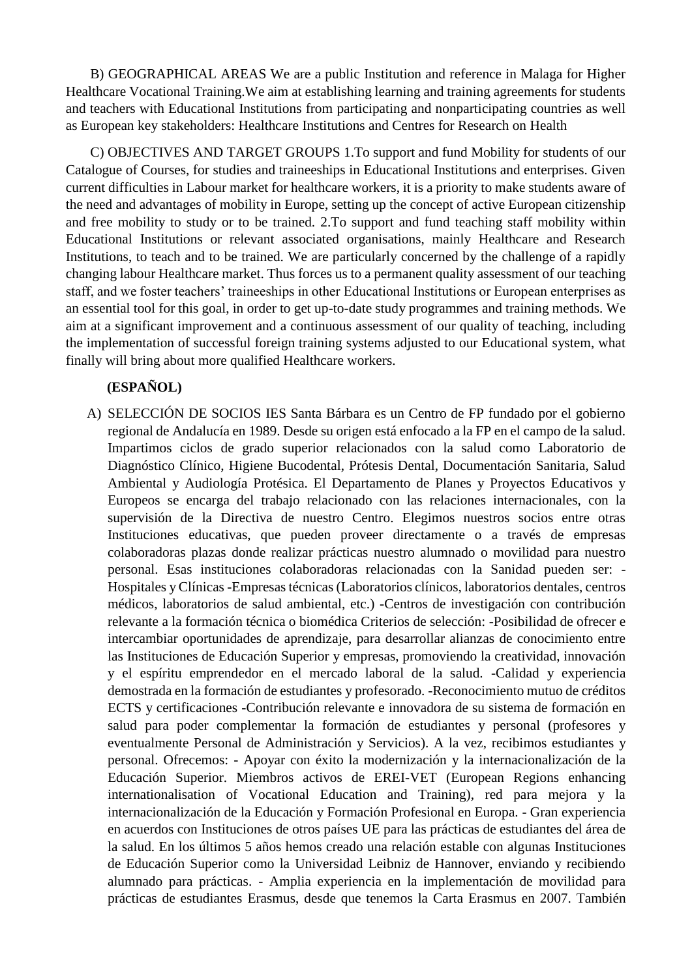B) GEOGRAPHICAL AREAS We are a public Institution and reference in Malaga for Higher Healthcare Vocational Training.We aim at establishing learning and training agreements for students and teachers with Educational Institutions from participating and nonparticipating countries as well as European key stakeholders: Healthcare Institutions and Centres for Research on Health

C) OBJECTIVES AND TARGET GROUPS 1.To support and fund Mobility for students of our Catalogue of Courses, for studies and traineeships in Educational Institutions and enterprises. Given current difficulties in Labour market for healthcare workers, it is a priority to make students aware of the need and advantages of mobility in Europe, setting up the concept of active European citizenship and free mobility to study or to be trained. 2.To support and fund teaching staff mobility within Educational Institutions or relevant associated organisations, mainly Healthcare and Research Institutions, to teach and to be trained. We are particularly concerned by the challenge of a rapidly changing labour Healthcare market. Thus forces us to a permanent quality assessment of our teaching staff, and we foster teachers' traineeships in other Educational Institutions or European enterprises as an essential tool for this goal, in order to get up-to-date study programmes and training methods. We aim at a significant improvement and a continuous assessment of our quality of teaching, including the implementation of successful foreign training systems adjusted to our Educational system, what finally will bring about more qualified Healthcare workers.

### **(ESPAÑOL)**

A) SELECCIÓN DE SOCIOS IES Santa Bárbara es un Centro de FP fundado por el gobierno regional de Andalucía en 1989. Desde su origen está enfocado a la FP en el campo de la salud. Impartimos ciclos de grado superior relacionados con la salud como Laboratorio de Diagnóstico Clínico, Higiene Bucodental, Prótesis Dental, Documentación Sanitaria, Salud Ambiental y Audiología Protésica. El Departamento de Planes y Proyectos Educativos y Europeos se encarga del trabajo relacionado con las relaciones internacionales, con la supervisión de la Directiva de nuestro Centro. Elegimos nuestros socios entre otras Instituciones educativas, que pueden proveer directamente o a través de empresas colaboradoras plazas donde realizar prácticas nuestro alumnado o movilidad para nuestro personal. Esas instituciones colaboradoras relacionadas con la Sanidad pueden ser: - Hospitales y Clínicas -Empresas técnicas (Laboratorios clínicos, laboratorios dentales, centros médicos, laboratorios de salud ambiental, etc.) -Centros de investigación con contribución relevante a la formación técnica o biomédica Criterios de selección: -Posibilidad de ofrecer e intercambiar oportunidades de aprendizaje, para desarrollar alianzas de conocimiento entre las Instituciones de Educación Superior y empresas, promoviendo la creatividad, innovación y el espíritu emprendedor en el mercado laboral de la salud. -Calidad y experiencia demostrada en la formación de estudiantes y profesorado. -Reconocimiento mutuo de créditos ECTS y certificaciones -Contribución relevante e innovadora de su sistema de formación en salud para poder complementar la formación de estudiantes y personal (profesores y eventualmente Personal de Administración y Servicios). A la vez, recibimos estudiantes y personal. Ofrecemos: - Apoyar con éxito la modernización y la internacionalización de la Educación Superior. Miembros activos de EREI-VET (European Regions enhancing internationalisation of Vocational Education and Training), red para mejora y la internacionalización de la Educación y Formación Profesional en Europa. - Gran experiencia en acuerdos con Instituciones de otros países UE para las prácticas de estudiantes del área de la salud. En los últimos 5 años hemos creado una relación estable con algunas Instituciones de Educación Superior como la Universidad Leibniz de Hannover, enviando y recibiendo alumnado para prácticas. - Amplia experiencia en la implementación de movilidad para prácticas de estudiantes Erasmus, desde que tenemos la Carta Erasmus en 2007. También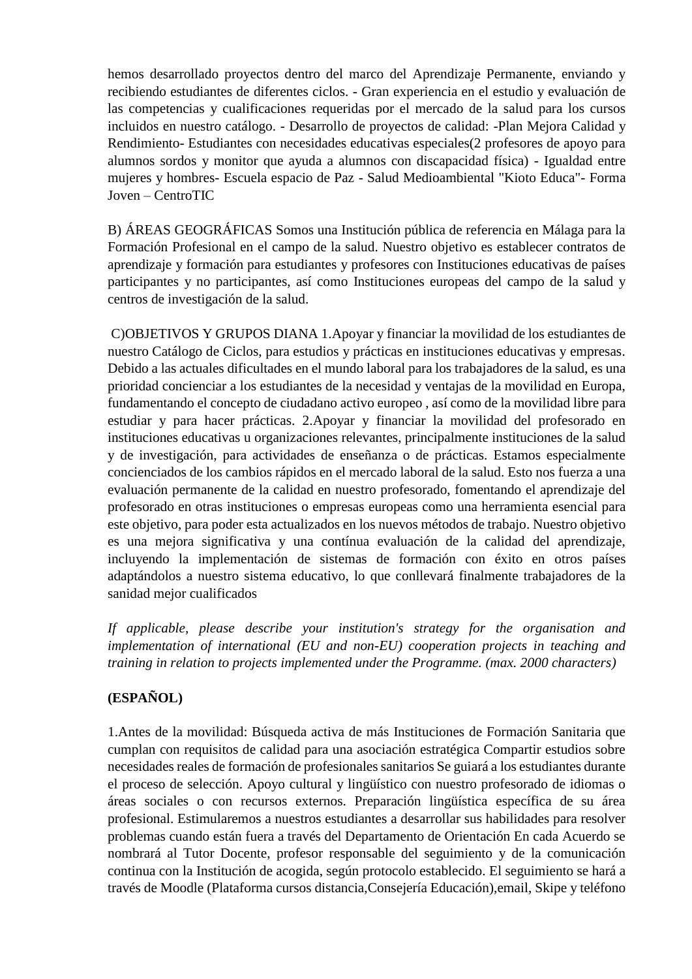hemos desarrollado proyectos dentro del marco del Aprendizaje Permanente, enviando y recibiendo estudiantes de diferentes ciclos. - Gran experiencia en el estudio y evaluación de las competencias y cualificaciones requeridas por el mercado de la salud para los cursos incluidos en nuestro catálogo. - Desarrollo de proyectos de calidad: -Plan Mejora Calidad y Rendimiento- Estudiantes con necesidades educativas especiales(2 profesores de apoyo para alumnos sordos y monitor que ayuda a alumnos con discapacidad física) - Igualdad entre mujeres y hombres- Escuela espacio de Paz - Salud Medioambiental "Kioto Educa"- Forma Joven – CentroTIC

B) ÁREAS GEOGRÁFICAS Somos una Institución pública de referencia en Málaga para la Formación Profesional en el campo de la salud. Nuestro objetivo es establecer contratos de aprendizaje y formación para estudiantes y profesores con Instituciones educativas de países participantes y no participantes, así como Instituciones europeas del campo de la salud y centros de investigación de la salud.

C)OBJETIVOS Y GRUPOS DIANA 1.Apoyar y financiar la movilidad de los estudiantes de nuestro Catálogo de Ciclos, para estudios y prácticas en instituciones educativas y empresas. Debido a las actuales dificultades en el mundo laboral para los trabajadores de la salud, es una prioridad concienciar a los estudiantes de la necesidad y ventajas de la movilidad en Europa, fundamentando el concepto de ciudadano activo europeo , así como de la movilidad libre para estudiar y para hacer prácticas. 2.Apoyar y financiar la movilidad del profesorado en instituciones educativas u organizaciones relevantes, principalmente instituciones de la salud y de investigación, para actividades de enseñanza o de prácticas. Estamos especialmente concienciados de los cambios rápidos en el mercado laboral de la salud. Esto nos fuerza a una evaluación permanente de la calidad en nuestro profesorado, fomentando el aprendizaje del profesorado en otras instituciones o empresas europeas como una herramienta esencial para este objetivo, para poder esta actualizados en los nuevos métodos de trabajo. Nuestro objetivo es una mejora significativa y una contínua evaluación de la calidad del aprendizaje, incluyendo la implementación de sistemas de formación con éxito en otros países adaptándolos a nuestro sistema educativo, lo que conllevará finalmente trabajadores de la sanidad mejor cualificados

*If applicable, please describe your institution's strategy for the organisation and implementation of international (EU and non-EU) cooperation projects in teaching and training in relation to projects implemented under the Programme. (max. 2000 characters)*

## **(ESPAÑOL)**

1.Antes de la movilidad: Búsqueda activa de más Instituciones de Formación Sanitaria que cumplan con requisitos de calidad para una asociación estratégica Compartir estudios sobre necesidades reales de formación de profesionales sanitarios Se guiará a los estudiantes durante el proceso de selección. Apoyo cultural y lingüístico con nuestro profesorado de idiomas o áreas sociales o con recursos externos. Preparación lingüística específica de su área profesional. Estimularemos a nuestros estudiantes a desarrollar sus habilidades para resolver problemas cuando están fuera a través del Departamento de Orientación En cada Acuerdo se nombrará al Tutor Docente, profesor responsable del seguimiento y de la comunicación continua con la Institución de acogida, según protocolo establecido. El seguimiento se hará a través de Moodle (Plataforma cursos distancia,Consejería Educación),email, Skipe y teléfono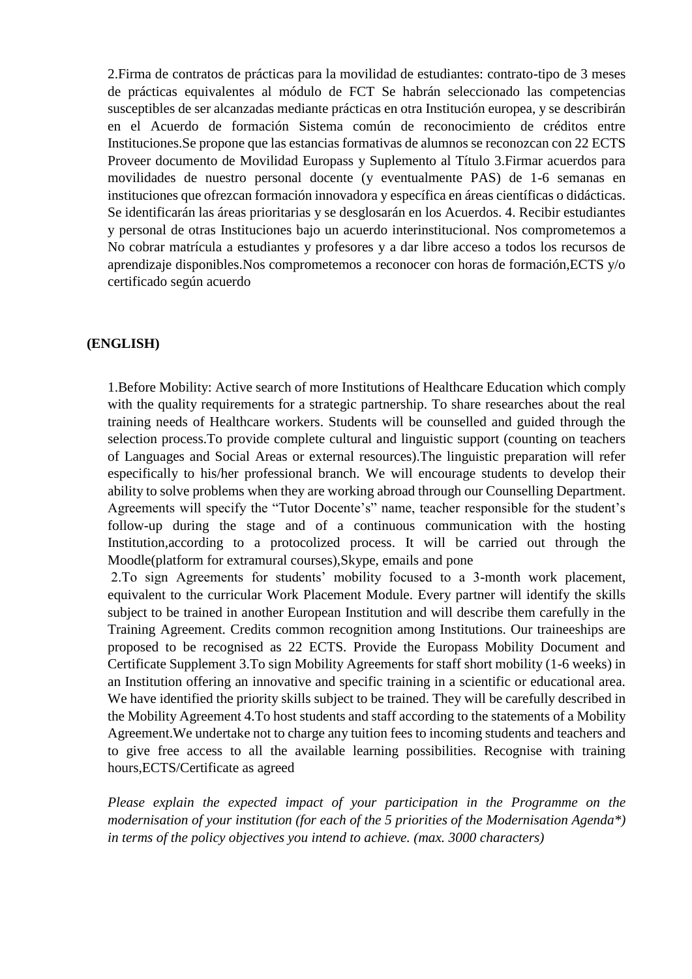2.Firma de contratos de prácticas para la movilidad de estudiantes: contrato-tipo de 3 meses de prácticas equivalentes al módulo de FCT Se habrán seleccionado las competencias susceptibles de ser alcanzadas mediante prácticas en otra Institución europea, y se describirán en el Acuerdo de formación Sistema común de reconocimiento de créditos entre Instituciones.Se propone que las estancias formativas de alumnos se reconozcan con 22 ECTS Proveer documento de Movilidad Europass y Suplemento al Título 3.Firmar acuerdos para movilidades de nuestro personal docente (y eventualmente PAS) de 1-6 semanas en instituciones que ofrezcan formación innovadora y específica en áreas científicas o didácticas. Se identificarán las áreas prioritarias y se desglosarán en los Acuerdos. 4. Recibir estudiantes y personal de otras Instituciones bajo un acuerdo interinstitucional. Nos comprometemos a No cobrar matrícula a estudiantes y profesores y a dar libre acceso a todos los recursos de aprendizaje disponibles.Nos comprometemos a reconocer con horas de formación,ECTS y/o certificado según acuerdo

#### **(ENGLISH)**

1.Before Mobility: Active search of more Institutions of Healthcare Education which comply with the quality requirements for a strategic partnership. To share researches about the real training needs of Healthcare workers. Students will be counselled and guided through the selection process.To provide complete cultural and linguistic support (counting on teachers of Languages and Social Areas or external resources).The linguistic preparation will refer especifically to his/her professional branch. We will encourage students to develop their ability to solve problems when they are working abroad through our Counselling Department. Agreements will specify the "Tutor Docente's" name, teacher responsible for the student's follow-up during the stage and of a continuous communication with the hosting Institution,according to a protocolized process. It will be carried out through the Moodle(platform for extramural courses),Skype, emails and pone

2.To sign Agreements for students' mobility focused to a 3-month work placement, equivalent to the curricular Work Placement Module. Every partner will identify the skills subject to be trained in another European Institution and will describe them carefully in the Training Agreement. Credits common recognition among Institutions. Our traineeships are proposed to be recognised as 22 ECTS. Provide the Europass Mobility Document and Certificate Supplement 3.To sign Mobility Agreements for staff short mobility (1-6 weeks) in an Institution offering an innovative and specific training in a scientific or educational area. We have identified the priority skills subject to be trained. They will be carefully described in the Mobility Agreement 4.To host students and staff according to the statements of a Mobility Agreement.We undertake not to charge any tuition fees to incoming students and teachers and to give free access to all the available learning possibilities. Recognise with training hours,ECTS/Certificate as agreed

*Please explain the expected impact of your participation in the Programme on the modernisation of your institution (for each of the 5 priorities of the Modernisation Agenda\*) in terms of the policy objectives you intend to achieve. (max. 3000 characters)*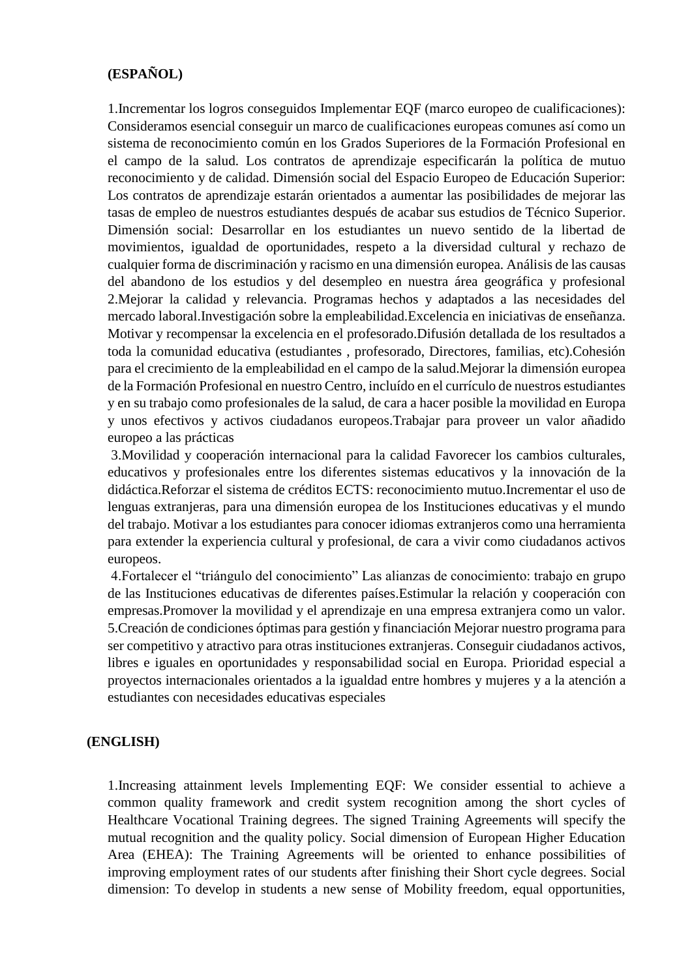### **(ESPAÑOL)**

1.Incrementar los logros conseguidos Implementar EQF (marco europeo de cualificaciones): Consideramos esencial conseguir un marco de cualificaciones europeas comunes así como un sistema de reconocimiento común en los Grados Superiores de la Formación Profesional en el campo de la salud. Los contratos de aprendizaje especificarán la política de mutuo reconocimiento y de calidad. Dimensión social del Espacio Europeo de Educación Superior: Los contratos de aprendizaje estarán orientados a aumentar las posibilidades de mejorar las tasas de empleo de nuestros estudiantes después de acabar sus estudios de Técnico Superior. Dimensión social: Desarrollar en los estudiantes un nuevo sentido de la libertad de movimientos, igualdad de oportunidades, respeto a la diversidad cultural y rechazo de cualquier forma de discriminación y racismo en una dimensión europea. Análisis de las causas del abandono de los estudios y del desempleo en nuestra área geográfica y profesional 2.Mejorar la calidad y relevancia. Programas hechos y adaptados a las necesidades del mercado laboral.Investigación sobre la empleabilidad.Excelencia en iniciativas de enseñanza. Motivar y recompensar la excelencia en el profesorado.Difusión detallada de los resultados a toda la comunidad educativa (estudiantes , profesorado, Directores, familias, etc).Cohesión para el crecimiento de la empleabilidad en el campo de la salud.Mejorar la dimensión europea de la Formación Profesional en nuestro Centro, incluído en el currículo de nuestros estudiantes y en su trabajo como profesionales de la salud, de cara a hacer posible la movilidad en Europa y unos efectivos y activos ciudadanos europeos.Trabajar para proveer un valor añadido europeo a las prácticas

3.Movilidad y cooperación internacional para la calidad Favorecer los cambios culturales, educativos y profesionales entre los diferentes sistemas educativos y la innovación de la didáctica.Reforzar el sistema de créditos ECTS: reconocimiento mutuo.Incrementar el uso de lenguas extranjeras, para una dimensión europea de los Instituciones educativas y el mundo del trabajo. Motivar a los estudiantes para conocer idiomas extranjeros como una herramienta para extender la experiencia cultural y profesional, de cara a vivir como ciudadanos activos europeos.

4.Fortalecer el "triángulo del conocimiento" Las alianzas de conocimiento: trabajo en grupo de las Instituciones educativas de diferentes países.Estimular la relación y cooperación con empresas.Promover la movilidad y el aprendizaje en una empresa extranjera como un valor. 5.Creación de condiciones óptimas para gestión y financiación Mejorar nuestro programa para ser competitivo y atractivo para otras instituciones extranjeras. Conseguir ciudadanos activos, libres e iguales en oportunidades y responsabilidad social en Europa. Prioridad especial a proyectos internacionales orientados a la igualdad entre hombres y mujeres y a la atención a estudiantes con necesidades educativas especiales

#### **(ENGLISH)**

1.Increasing attainment levels Implementing EQF: We consider essential to achieve a common quality framework and credit system recognition among the short cycles of Healthcare Vocational Training degrees. The signed Training Agreements will specify the mutual recognition and the quality policy. Social dimension of European Higher Education Area (EHEA): The Training Agreements will be oriented to enhance possibilities of improving employment rates of our students after finishing their Short cycle degrees. Social dimension: To develop in students a new sense of Mobility freedom, equal opportunities,